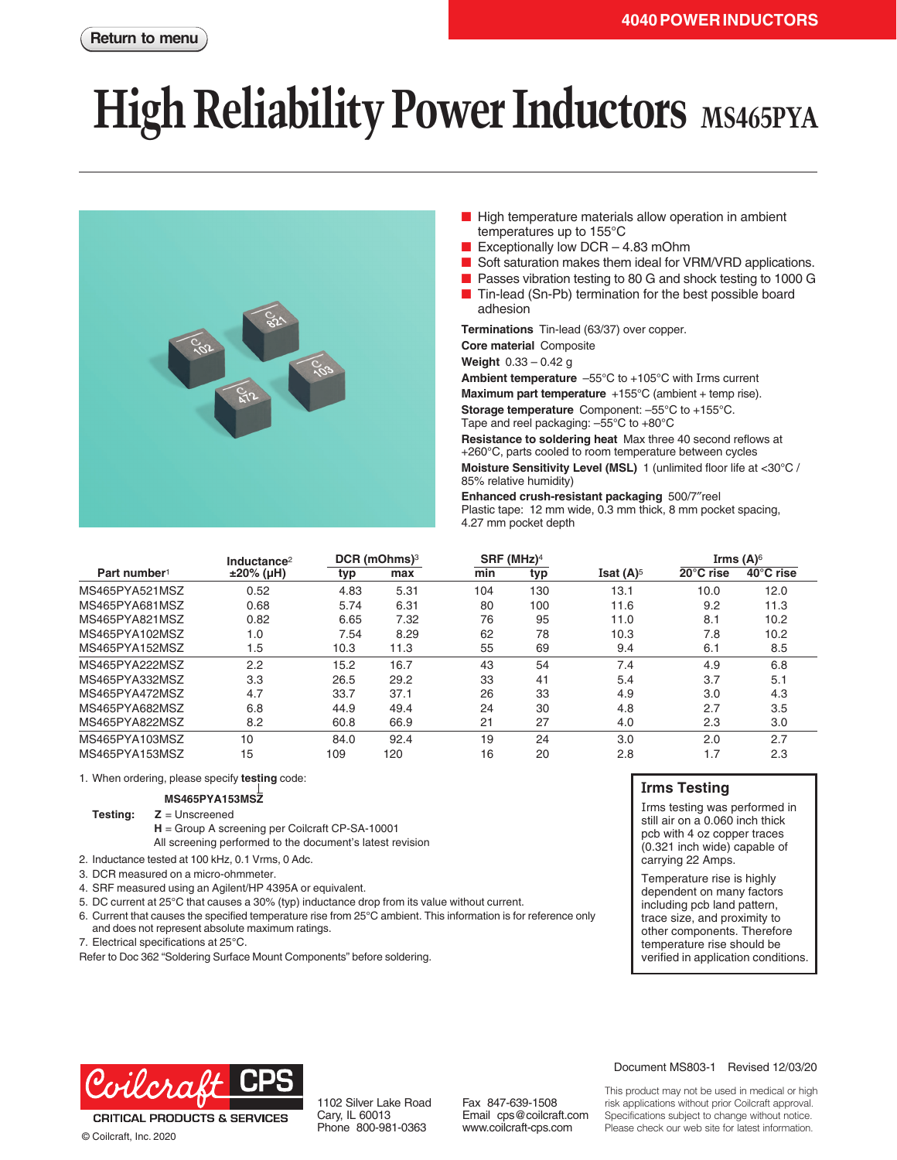# **High Reliability Power Inductors** MS465PYA



- High temperature materials allow operation in ambient temperatures up to 155°C
- Exceptionally low  $DCR 4.83$  mOhm
- Soft saturation makes them ideal for VRM/VRD applications.
- Passes vibration testing to 80 G and shock testing to 1000 G
- Tin-lead (Sn-Pb) termination for the best possible board adhesion

**Terminations** Tin-lead (63/37) over copper.

**Core material** Composite

**Weight** 0.33 – 0.42 g

**Ambient temperature** –55°C to +105°C with Irms current

**Maximum part temperature** +155°C (ambient + temp rise).

**Storage temperature** Component: –55°C to +155°C. Tape and reel packaging: –55°C to +80°C

**Resistance to soldering heat** Max three 40 second reflows at +260°C, parts cooled to room temperature between cycles

**Moisture Sensitivity Level (MSL)** 1 (unlimited floor life at <30°C / 85% relative humidity)

**Enhanced crush-resistant packaging** 500/7″reel Plastic tape: 12 mm wide, 0.3 mm thick, 8 mm pocket spacing, 4.27 mm pocket depth

|                          | Inductance <sup>2</sup> | DCR (mOhms) <sup>3</sup> |      | $SRF$ (MHz) <sup>4</sup> |     |                                | Irms $(A)^6$ |           |
|--------------------------|-------------------------|--------------------------|------|--------------------------|-----|--------------------------------|--------------|-----------|
| Part number <sup>1</sup> | $±20\%$ (µH)            | typ                      | max  | min                      | typ | <b>Isat <math>(A)^5</math></b> | 20°C rise    | 40°C rise |
| MS465PYA521MSZ           | 0.52                    | 4.83                     | 5.31 | 104                      | 130 | 13.1                           | 10.0         | 12.0      |
| MS465PYA681MSZ           | 0.68                    | 5.74                     | 6.31 | 80                       | 100 | 11.6                           | 9.2          | 11.3      |
| MS465PYA821MSZ           | 0.82                    | 6.65                     | 7.32 | 76                       | 95  | 11.0                           | 8.1          | 10.2      |
| MS465PYA102MSZ           | 1.0                     | 7.54                     | 8.29 | 62                       | 78  | 10.3                           | 7.8          | 10.2      |
| MS465PYA152MSZ           | 1.5                     | 10.3                     | 11.3 | 55                       | 69  | 9.4                            | 6.1          | 8.5       |
| MS465PYA222MSZ           | 2.2                     | 15.2                     | 16.7 | 43                       | 54  | 7.4                            | 4.9          | 6.8       |
| MS465PYA332MSZ           | 3.3                     | 26.5                     | 29.2 | 33                       | 41  | 5.4                            | 3.7          | 5.1       |
| MS465PYA472MSZ           | 4.7                     | 33.7                     | 37.1 | 26                       | 33  | 4.9                            | 3.0          | 4.3       |
| MS465PYA682MSZ           | 6.8                     | 44.9                     | 49.4 | 24                       | 30  | 4.8                            | 2.7          | 3.5       |
| MS465PYA822MSZ           | 8.2                     | 60.8                     | 66.9 | 21                       | 27  | 4.0                            | 2.3          | 3.0       |
| MS465PYA103MSZ           | 10                      | 84.0                     | 92.4 | 19                       | 24  | 3.0                            | 2.0          | 2.7       |
| MS465PYA153MSZ           | 15                      | 109                      | 120  | 16                       | 20  | 2.8                            | 1.7          | 2.3       |

1. When ordering, please specify **testing** code:

#### **MS465PYA153MSZ**

**Testing: Z** = Unscreened

- **H** = Group A screening per Coilcraft CP-SA-10001 All screening performed to the document's latest revision
- 2. Inductance tested at 100 kHz, 0.1 Vrms, 0 Adc.
- 3. DCR measured on a micro-ohmmeter.
- 4. SRF measured using an Agilent/HP 4395A or equivalent.
- 5. DC current at 25°C that causes a 30% (typ) inductance drop from its value without current.
- 6. Current that causes the specified temperature rise from 25°C ambient. This information is for reference only and does not represent absolute maximum ratings.
- 7. Electrical specifications at 25°C.

Refer to Doc 362 "Soldering Surface Mount Components" before soldering.

### **Irms Testing**

Irms testing was performed in still air on a 0.060 inch thick pcb with 4 oz copper traces (0.321 inch wide) capable of carrying 22 Amps.

Temperature rise is highly dependent on many factors including pcb land pattern, trace size, and proximity to other components. Therefore temperature rise should be verified in application conditions.



© Coilcraft, Inc. 2020

1102 Silver Lake Road Cary, IL 60013 Phone 800-981-0363

Fax 847-639-1508 Email cps@coilcraft.com www.coilcraft-cps.com

#### Document MS803-1 Revised 12/03/20

This product may not be used in medical or high risk applications without prior Coilcraft approval. Specifications subject to change without notice. Please check our web site for latest information.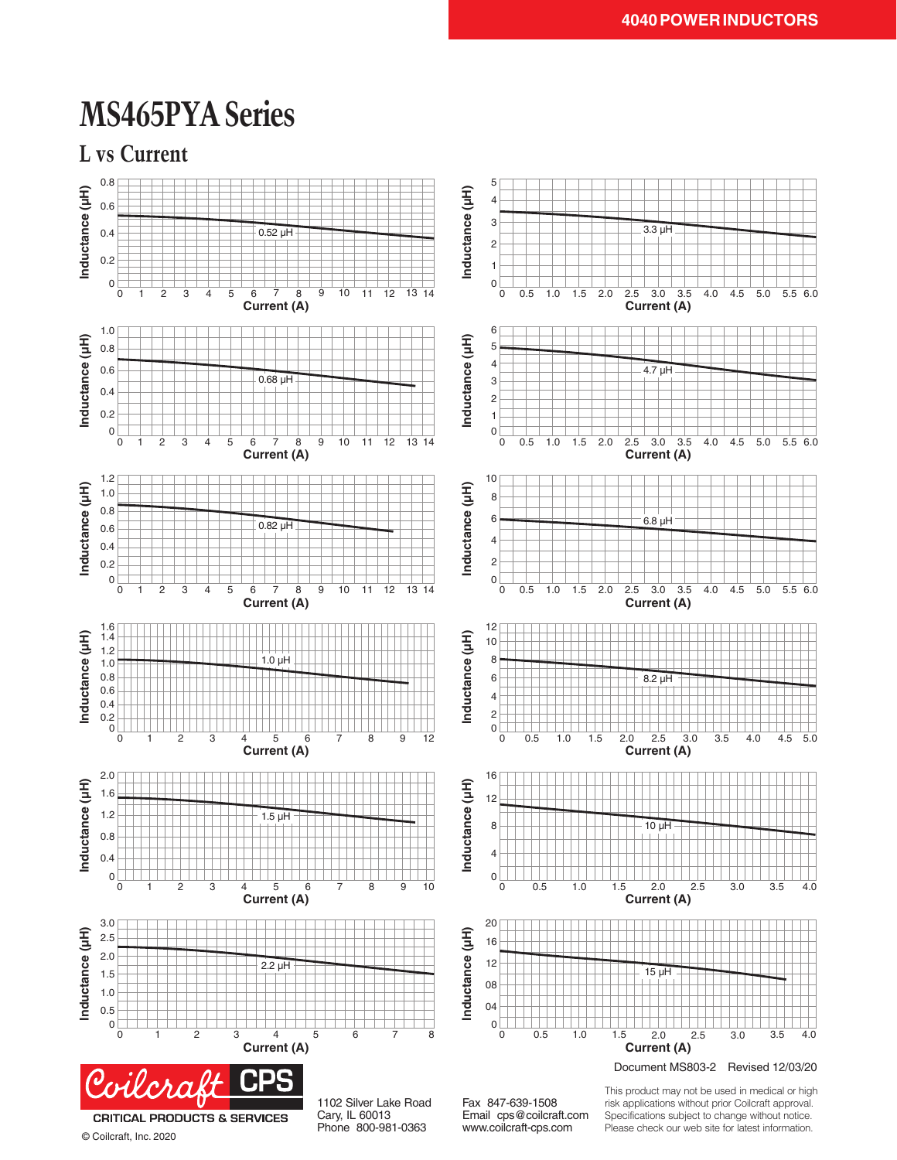### **MS465PYA Series**





© Coilcraft, Inc. 2020

Cary, IL 60013 Phone 800-981-0363

Email cps@coilcraft.com www.coilcraft-cps.com

Specifications subject to change without notice. Please check our web site for latest information.